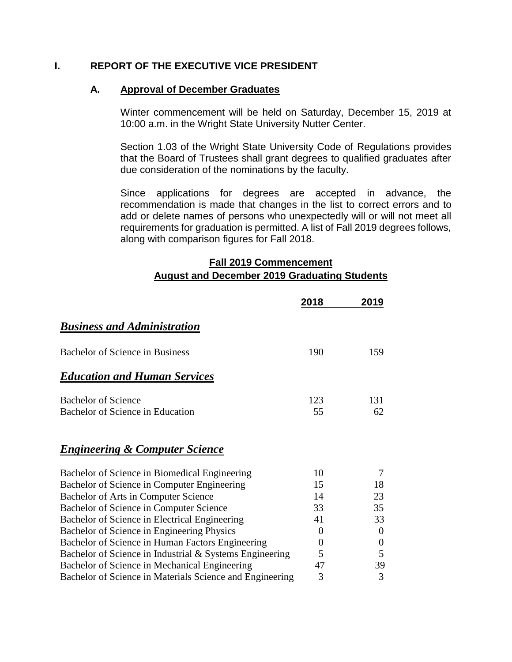#### **I. REPORT OF THE EXECUTIVE VICE PRESIDENT**

#### **A. Approval of December Graduates**

Winter commencement will be held on Saturday, December 15, 2019 at 10:00 a.m. in the Wright State University Nutter Center.

Section 1.03 of the Wright State University Code of Regulations provides that the Board of Trustees shall grant degrees to qualified graduates after due consideration of the nominations by the faculty.

Since applications for degrees are accepted in advance, the recommendation is made that changes in the list to correct errors and to add or delete names of persons who unexpectedly will or will not meet all requirements for graduation is permitted. A list of Fall 2019 degrees follows, along with comparison figures for Fall 2018.

## **Fall 2019 Commencement August and December 2019 Graduating Students**

|                                                          | 2018           | 2019             |
|----------------------------------------------------------|----------------|------------------|
| <b>Business and Administration</b>                       |                |                  |
| <b>Bachelor of Science in Business</b>                   | 190            | 159              |
| <b>Education and Human Services</b>                      |                |                  |
| <b>Bachelor of Science</b>                               | 123            | 131              |
| Bachelor of Science in Education                         | 55             | 62               |
| <b>Engineering &amp; Computer Science</b>                |                |                  |
| Bachelor of Science in Biomedical Engineering            | 10             | 7                |
| Bachelor of Science in Computer Engineering              | 15             | 18               |
| Bachelor of Arts in Computer Science                     | 14             | 23               |
| Bachelor of Science in Computer Science                  | 33             | 35               |
| Bachelor of Science in Electrical Engineering            | 41             | 33               |
| Bachelor of Science in Engineering Physics               | 0              | $\theta$         |
| Bachelor of Science in Human Factors Engineering         | $\overline{0}$ | $\boldsymbol{0}$ |
| Bachelor of Science in Industrial & Systems Engineering  | 5              | 5                |
| Bachelor of Science in Mechanical Engineering            | 47             | 39               |
| Bachelor of Science in Materials Science and Engineering | 3              | 3                |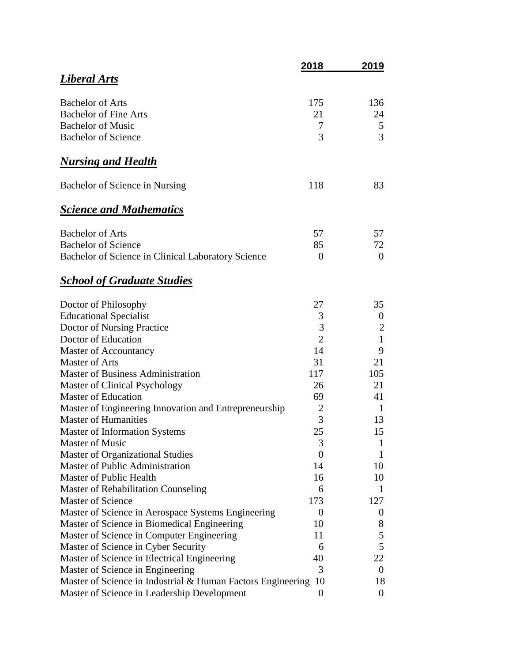|                                                                                                 | <u>2018</u>    | 2019                   |
|-------------------------------------------------------------------------------------------------|----------------|------------------------|
| Liberal Arts                                                                                    |                |                        |
| <b>Bachelor of Arts</b>                                                                         | 175            | 136                    |
| <b>Bachelor of Fine Arts</b>                                                                    | 21             | 24                     |
| <b>Bachelor of Music</b>                                                                        | 7              | 5                      |
| <b>Bachelor of Science</b>                                                                      | 3              | 3                      |
| <u>Nursing and Health</u>                                                                       |                |                        |
| Bachelor of Science in Nursing                                                                  | 118            | 83                     |
| <b>Science and Mathematics</b>                                                                  |                |                        |
| <b>Bachelor of Arts</b>                                                                         | 57             | 57                     |
| <b>Bachelor of Science</b>                                                                      | 85             | 72                     |
| Bachelor of Science in Clinical Laboratory Science                                              | $\theta$       | $\theta$               |
| <b>School of Graduate Studies</b>                                                               |                |                        |
| Doctor of Philosophy                                                                            | 27             | 35                     |
| <b>Educational Specialist</b>                                                                   | 3              | $\boldsymbol{0}$       |
| Doctor of Nursing Practice                                                                      | 3              | $\overline{c}$         |
| Doctor of Education                                                                             | $\overline{2}$ | $\mathbf{1}$           |
| <b>Master of Accountancy</b>                                                                    | 14             | 9                      |
| <b>Master of Arts</b>                                                                           | 31             | 21                     |
| <b>Master of Business Administration</b>                                                        | 117            | 105                    |
| <b>Master of Clinical Psychology</b>                                                            | 26             | 21                     |
| <b>Master of Education</b>                                                                      | 69             | 41                     |
| Master of Engineering Innovation and Entrepreneurship                                           | $\overline{2}$ | 1                      |
| <b>Master of Humanities</b>                                                                     | 3              | 13                     |
| <b>Master of Information Systems</b>                                                            | 25             | 15                     |
| <b>Master of Music</b>                                                                          | 3              | 1                      |
| <b>Master of Organizational Studies</b>                                                         | 0              | 1                      |
| <b>Master of Public Administration</b>                                                          | 14             | 10                     |
| Master of Public Health                                                                         | 16             | 10                     |
| Master of Rehabilitation Counseling                                                             | 6              | 1                      |
| <b>Master of Science</b>                                                                        | 173            | 127                    |
| Master of Science in Aerospace Systems Engineering                                              | $\theta$       | 0                      |
| Master of Science in Biomedical Engineering                                                     | 10             | 8                      |
| Master of Science in Computer Engineering                                                       | 11             | 5                      |
| Master of Science in Cyber Security                                                             | 6              | 5                      |
| Master of Science in Electrical Engineering                                                     | 40<br>3        | 22<br>$\boldsymbol{0}$ |
| Master of Science in Engineering<br>Master of Science in Industrial & Human Factors Engineering | 10             | 18                     |
| Master of Science in Leadership Development                                                     | 0              | $\overline{0}$         |
|                                                                                                 |                |                        |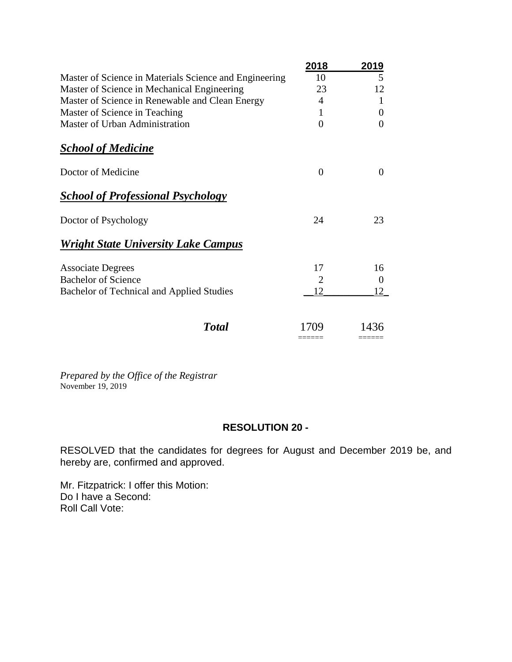|                                                        | 2018     | 2019     |
|--------------------------------------------------------|----------|----------|
| Master of Science in Materials Science and Engineering | 10       | 5        |
| Master of Science in Mechanical Engineering            | 23       | 12       |
| Master of Science in Renewable and Clean Energy        | 4        | 1        |
| Master of Science in Teaching                          | 1        | $\theta$ |
| Master of Urban Administration                         | 0        | $\Omega$ |
| <b>School of Medicine</b>                              |          |          |
| Doctor of Medicine                                     | $\theta$ | $\Omega$ |
| <b>School of Professional Psychology</b>               |          |          |
| Doctor of Psychology                                   | 24       | 23       |
| <b>Wright State University Lake Campus</b>             |          |          |
| <b>Associate Degrees</b>                               | 17       | 16       |
| <b>Bachelor of Science</b>                             | 2        | $\theta$ |
| Bachelor of Technical and Applied Studies              | 12       | 12       |
| Total                                                  | 1709     | 1436     |

*Prepared by the Office of the Registrar* November 19, 2019

#### **RESOLUTION 20 -**

RESOLVED that the candidates for degrees for August and December 2019 be, and hereby are, confirmed and approved.

Mr. Fitzpatrick: I offer this Motion: Do I have a Second: Roll Call Vote: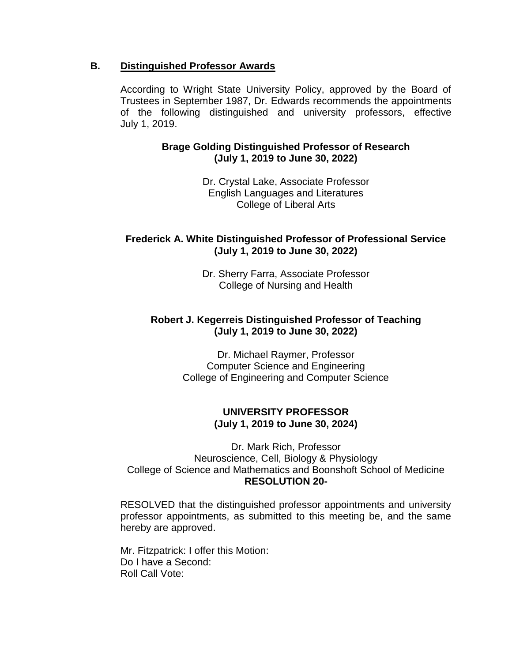#### **B. Distinguished Professor Awards**

According to Wright State University Policy, approved by the Board of Trustees in September 1987, Dr. Edwards recommends the appointments of the following distinguished and university professors, effective July 1, 2019.

#### **Brage Golding Distinguished Professor of Research (July 1, 2019 to June 30, 2022)**

Dr. Crystal Lake, Associate Professor English Languages and Literatures College of Liberal Arts

# **Frederick A. White Distinguished Professor of Professional Service (July 1, 2019 to June 30, 2022)**

Dr. Sherry Farra, Associate Professor College of Nursing and Health

# **Robert J. Kegerreis Distinguished Professor of Teaching (July 1, 2019 to June 30, 2022)**

Dr. Michael Raymer, Professor Computer Science and Engineering College of Engineering and Computer Science

# **UNIVERSITY PROFESSOR (July 1, 2019 to June 30, 2024)**

Dr. Mark Rich, Professor Neuroscience, Cell, Biology & Physiology College of Science and Mathematics and Boonshoft School of Medicine **RESOLUTION 20-**

RESOLVED that the distinguished professor appointments and university professor appointments, as submitted to this meeting be, and the same hereby are approved.

Mr. Fitzpatrick: I offer this Motion: Do I have a Second: Roll Call Vote: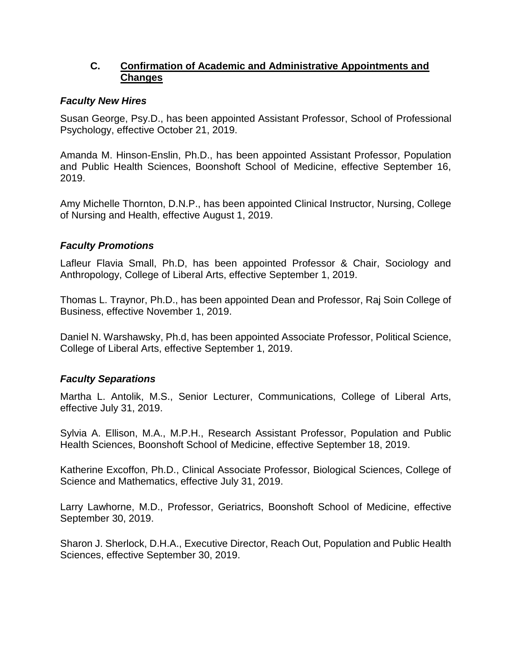# **C. Confirmation of Academic and Administrative Appointments and Changes**

## *Faculty New Hires*

Susan George, Psy.D., has been appointed Assistant Professor, School of Professional Psychology, effective October 21, 2019.

Amanda M. Hinson-Enslin, Ph.D., has been appointed Assistant Professor, Population and Public Health Sciences, Boonshoft School of Medicine, effective September 16, 2019.

Amy Michelle Thornton, D.N.P., has been appointed Clinical Instructor, Nursing, College of Nursing and Health, effective August 1, 2019.

# *Faculty Promotions*

Lafleur Flavia Small, Ph.D, has been appointed Professor & Chair, Sociology and Anthropology, College of Liberal Arts, effective September 1, 2019.

Thomas L. Traynor, Ph.D., has been appointed Dean and Professor, Raj Soin College of Business, effective November 1, 2019.

Daniel N. Warshawsky, Ph.d, has been appointed Associate Professor, Political Science, College of Liberal Arts, effective September 1, 2019.

# *Faculty Separations*

Martha L. Antolik, M.S., Senior Lecturer, Communications, College of Liberal Arts, effective July 31, 2019.

Sylvia A. Ellison, M.A., M.P.H., Research Assistant Professor, Population and Public Health Sciences, Boonshoft School of Medicine, effective September 18, 2019.

Katherine Excoffon, Ph.D., Clinical Associate Professor, Biological Sciences, College of Science and Mathematics, effective July 31, 2019.

Larry Lawhorne, M.D., Professor, Geriatrics, Boonshoft School of Medicine, effective September 30, 2019.

Sharon J. Sherlock, D.H.A., Executive Director, Reach Out, Population and Public Health Sciences, effective September 30, 2019.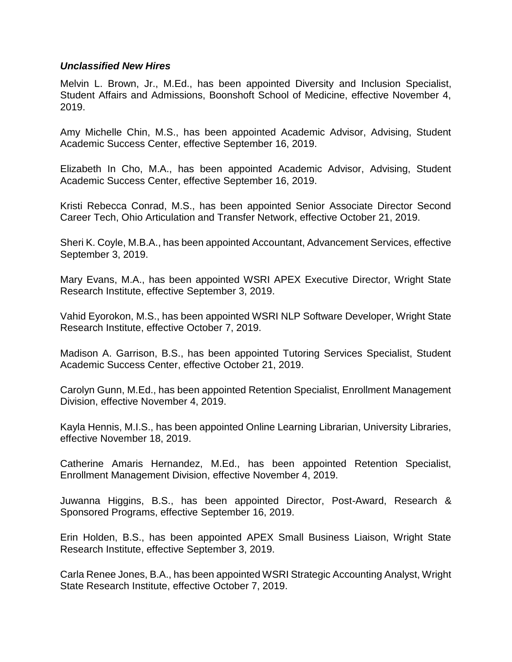#### *Unclassified New Hires*

Melvin L. Brown, Jr., M.Ed., has been appointed Diversity and Inclusion Specialist, Student Affairs and Admissions, Boonshoft School of Medicine, effective November 4, 2019.

Amy Michelle Chin, M.S., has been appointed Academic Advisor, Advising, Student Academic Success Center, effective September 16, 2019.

Elizabeth In Cho, M.A., has been appointed Academic Advisor, Advising, Student Academic Success Center, effective September 16, 2019.

Kristi Rebecca Conrad, M.S., has been appointed Senior Associate Director Second Career Tech, Ohio Articulation and Transfer Network, effective October 21, 2019.

Sheri K. Coyle, M.B.A., has been appointed Accountant, Advancement Services, effective September 3, 2019.

Mary Evans, M.A., has been appointed WSRI APEX Executive Director, Wright State Research Institute, effective September 3, 2019.

Vahid Eyorokon, M.S., has been appointed WSRI NLP Software Developer, Wright State Research Institute, effective October 7, 2019.

Madison A. Garrison, B.S., has been appointed Tutoring Services Specialist, Student Academic Success Center, effective October 21, 2019.

Carolyn Gunn, M.Ed., has been appointed Retention Specialist, Enrollment Management Division, effective November 4, 2019.

Kayla Hennis, M.I.S., has been appointed Online Learning Librarian, University Libraries, effective November 18, 2019.

Catherine Amaris Hernandez, M.Ed., has been appointed Retention Specialist, Enrollment Management Division, effective November 4, 2019.

Juwanna Higgins, B.S., has been appointed Director, Post-Award, Research & Sponsored Programs, effective September 16, 2019.

Erin Holden, B.S., has been appointed APEX Small Business Liaison, Wright State Research Institute, effective September 3, 2019.

Carla Renee Jones, B.A., has been appointed WSRI Strategic Accounting Analyst, Wright State Research Institute, effective October 7, 2019.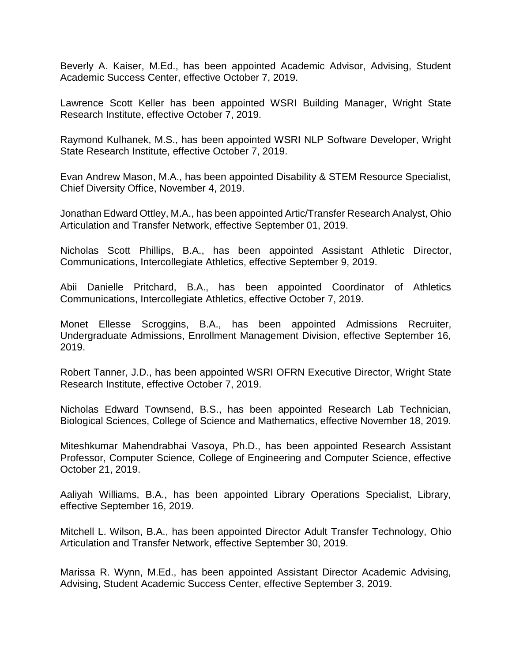Beverly A. Kaiser, M.Ed., has been appointed Academic Advisor, Advising, Student Academic Success Center, effective October 7, 2019.

Lawrence Scott Keller has been appointed WSRI Building Manager, Wright State Research Institute, effective October 7, 2019.

Raymond Kulhanek, M.S., has been appointed WSRI NLP Software Developer, Wright State Research Institute, effective October 7, 2019.

Evan Andrew Mason, M.A., has been appointed Disability & STEM Resource Specialist, Chief Diversity Office, November 4, 2019.

Jonathan Edward Ottley, M.A., has been appointed Artic/Transfer Research Analyst, Ohio Articulation and Transfer Network, effective September 01, 2019.

Nicholas Scott Phillips, B.A., has been appointed Assistant Athletic Director, Communications, Intercollegiate Athletics, effective September 9, 2019.

Abii Danielle Pritchard, B.A., has been appointed Coordinator of Athletics Communications, Intercollegiate Athletics, effective October 7, 2019.

Monet Ellesse Scroggins, B.A., has been appointed Admissions Recruiter, Undergraduate Admissions, Enrollment Management Division, effective September 16, 2019.

Robert Tanner, J.D., has been appointed WSRI OFRN Executive Director, Wright State Research Institute, effective October 7, 2019.

Nicholas Edward Townsend, B.S., has been appointed Research Lab Technician, Biological Sciences, College of Science and Mathematics, effective November 18, 2019.

Miteshkumar Mahendrabhai Vasoya, Ph.D., has been appointed Research Assistant Professor, Computer Science, College of Engineering and Computer Science, effective October 21, 2019.

Aaliyah Williams, B.A., has been appointed Library Operations Specialist, Library, effective September 16, 2019.

Mitchell L. Wilson, B.A., has been appointed Director Adult Transfer Technology, Ohio Articulation and Transfer Network, effective September 30, 2019.

Marissa R. Wynn, M.Ed., has been appointed Assistant Director Academic Advising, Advising, Student Academic Success Center, effective September 3, 2019.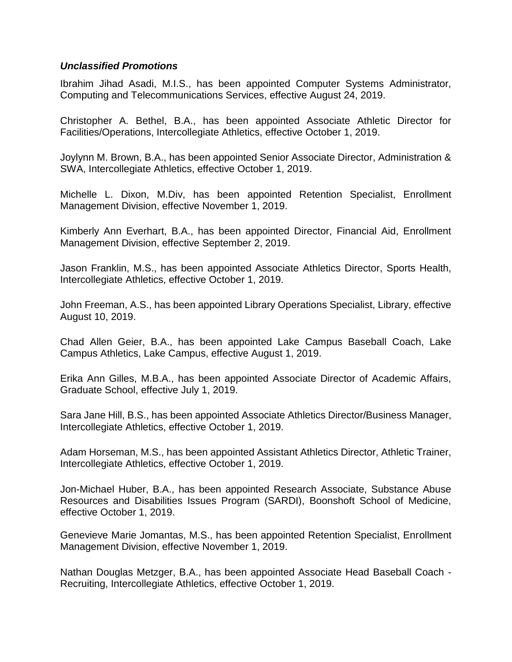#### *Unclassified Promotions*

Ibrahim Jihad Asadi, M.I.S., has been appointed Computer Systems Administrator, Computing and Telecommunications Services, effective August 24, 2019.

Christopher A. Bethel, B.A., has been appointed Associate Athletic Director for Facilities/Operations, Intercollegiate Athletics, effective October 1, 2019.

Joylynn M. Brown, B.A., has been appointed Senior Associate Director, Administration & SWA, Intercollegiate Athletics, effective October 1, 2019.

Michelle L. Dixon, M.Div, has been appointed Retention Specialist, Enrollment Management Division, effective November 1, 2019.

Kimberly Ann Everhart, B.A., has been appointed Director, Financial Aid, Enrollment Management Division, effective September 2, 2019.

Jason Franklin, M.S., has been appointed Associate Athletics Director, Sports Health, Intercollegiate Athletics, effective October 1, 2019.

John Freeman, A.S., has been appointed Library Operations Specialist, Library, effective August 10, 2019.

Chad Allen Geier, B.A., has been appointed Lake Campus Baseball Coach, Lake Campus Athletics, Lake Campus, effective August 1, 2019.

Erika Ann Gilles, M.B.A., has been appointed Associate Director of Academic Affairs, Graduate School, effective July 1, 2019.

Sara Jane Hill, B.S., has been appointed Associate Athletics Director/Business Manager, Intercollegiate Athletics, effective October 1, 2019.

Adam Horseman, M.S., has been appointed Assistant Athletics Director, Athletic Trainer, Intercollegiate Athletics, effective October 1, 2019.

Jon-Michael Huber, B.A., has been appointed Research Associate, Substance Abuse Resources and Disabilities Issues Program (SARDI), Boonshoft School of Medicine, effective October 1, 2019.

Genevieve Marie Jomantas, M.S., has been appointed Retention Specialist, Enrollment Management Division, effective November 1, 2019.

Nathan Douglas Metzger, B.A., has been appointed Associate Head Baseball Coach - Recruiting, Intercollegiate Athletics, effective October 1, 2019.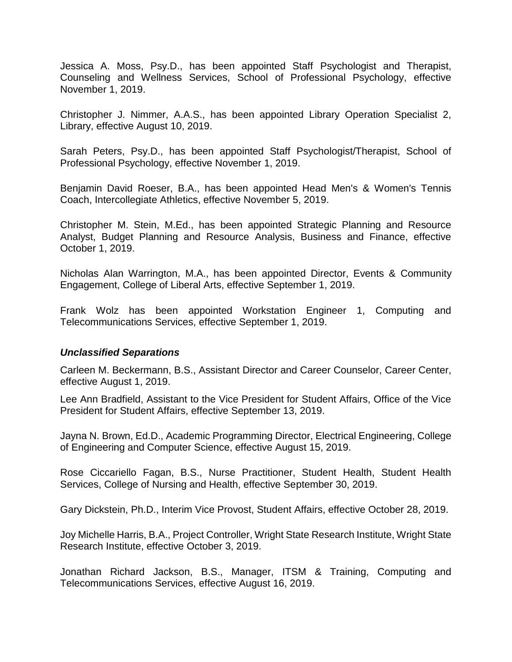Jessica A. Moss, Psy.D., has been appointed Staff Psychologist and Therapist, Counseling and Wellness Services, School of Professional Psychology, effective November 1, 2019.

Christopher J. Nimmer, A.A.S., has been appointed Library Operation Specialist 2, Library, effective August 10, 2019.

Sarah Peters, Psy.D., has been appointed Staff Psychologist/Therapist, School of Professional Psychology, effective November 1, 2019.

Benjamin David Roeser, B.A., has been appointed Head Men's & Women's Tennis Coach, Intercollegiate Athletics, effective November 5, 2019.

Christopher M. Stein, M.Ed., has been appointed Strategic Planning and Resource Analyst, Budget Planning and Resource Analysis, Business and Finance, effective October 1, 2019.

Nicholas Alan Warrington, M.A., has been appointed Director, Events & Community Engagement, College of Liberal Arts, effective September 1, 2019.

Frank Wolz has been appointed Workstation Engineer 1, Computing and Telecommunications Services, effective September 1, 2019.

#### *Unclassified Separations*

Carleen M. Beckermann, B.S., Assistant Director and Career Counselor, Career Center, effective August 1, 2019.

Lee Ann Bradfield, Assistant to the Vice President for Student Affairs, Office of the Vice President for Student Affairs, effective September 13, 2019.

Jayna N. Brown, Ed.D., Academic Programming Director, Electrical Engineering, College of Engineering and Computer Science, effective August 15, 2019.

Rose Ciccariello Fagan, B.S., Nurse Practitioner, Student Health, Student Health Services, College of Nursing and Health, effective September 30, 2019.

Gary Dickstein, Ph.D., Interim Vice Provost, Student Affairs, effective October 28, 2019.

Joy Michelle Harris, B.A., Project Controller, Wright State Research Institute, Wright State Research Institute, effective October 3, 2019.

Jonathan Richard Jackson, B.S., Manager, ITSM & Training, Computing and Telecommunications Services, effective August 16, 2019.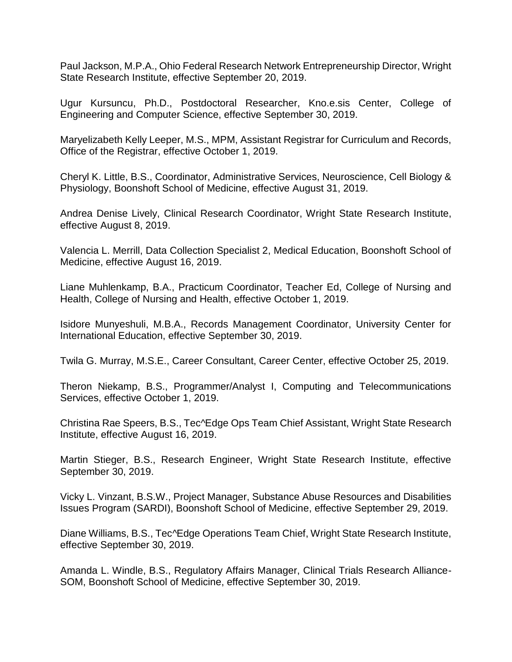Paul Jackson, M.P.A., Ohio Federal Research Network Entrepreneurship Director, Wright State Research Institute, effective September 20, 2019.

Ugur Kursuncu, Ph.D., Postdoctoral Researcher, Kno.e.sis Center, College of Engineering and Computer Science, effective September 30, 2019.

Maryelizabeth Kelly Leeper, M.S., MPM, Assistant Registrar for Curriculum and Records, Office of the Registrar, effective October 1, 2019.

Cheryl K. Little, B.S., Coordinator, Administrative Services, Neuroscience, Cell Biology & Physiology, Boonshoft School of Medicine, effective August 31, 2019.

Andrea Denise Lively, Clinical Research Coordinator, Wright State Research Institute, effective August 8, 2019.

Valencia L. Merrill, Data Collection Specialist 2, Medical Education, Boonshoft School of Medicine, effective August 16, 2019.

Liane Muhlenkamp, B.A., Practicum Coordinator, Teacher Ed, College of Nursing and Health, College of Nursing and Health, effective October 1, 2019.

Isidore Munyeshuli, M.B.A., Records Management Coordinator, University Center for International Education, effective September 30, 2019.

Twila G. Murray, M.S.E., Career Consultant, Career Center, effective October 25, 2019.

Theron Niekamp, B.S., Programmer/Analyst I, Computing and Telecommunications Services, effective October 1, 2019.

Christina Rae Speers, B.S., Tec^Edge Ops Team Chief Assistant, Wright State Research Institute, effective August 16, 2019.

Martin Stieger, B.S., Research Engineer, Wright State Research Institute, effective September 30, 2019.

Vicky L. Vinzant, B.S.W., Project Manager, Substance Abuse Resources and Disabilities Issues Program (SARDI), Boonshoft School of Medicine, effective September 29, 2019.

Diane Williams, B.S., Tec^Edge Operations Team Chief, Wright State Research Institute, effective September 30, 2019.

Amanda L. Windle, B.S., Regulatory Affairs Manager, Clinical Trials Research Alliance-SOM, Boonshoft School of Medicine, effective September 30, 2019.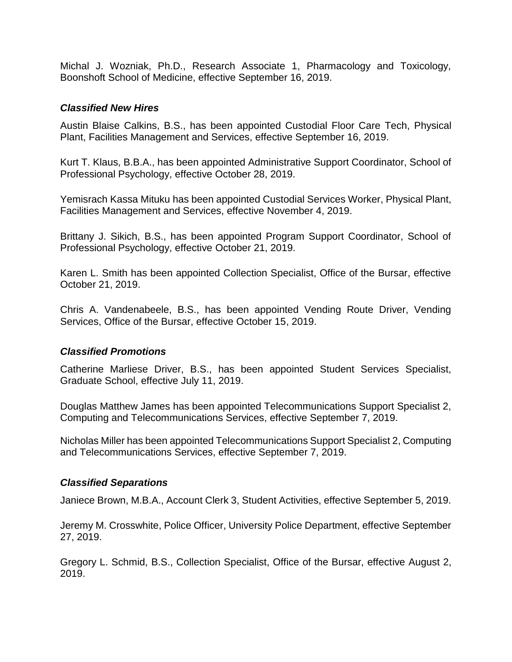Michal J. Wozniak, Ph.D., Research Associate 1, Pharmacology and Toxicology, Boonshoft School of Medicine, effective September 16, 2019.

#### *Classified New Hires*

Austin Blaise Calkins, B.S., has been appointed Custodial Floor Care Tech, Physical Plant, Facilities Management and Services, effective September 16, 2019.

Kurt T. Klaus, B.B.A., has been appointed Administrative Support Coordinator, School of Professional Psychology, effective October 28, 2019.

Yemisrach Kassa Mituku has been appointed Custodial Services Worker, Physical Plant, Facilities Management and Services, effective November 4, 2019.

Brittany J. Sikich, B.S., has been appointed Program Support Coordinator, School of Professional Psychology, effective October 21, 2019.

Karen L. Smith has been appointed Collection Specialist, Office of the Bursar, effective October 21, 2019.

Chris A. Vandenabeele, B.S., has been appointed Vending Route Driver, Vending Services, Office of the Bursar, effective October 15, 2019.

# *Classified Promotions*

Catherine Marliese Driver, B.S., has been appointed Student Services Specialist, Graduate School, effective July 11, 2019.

Douglas Matthew James has been appointed Telecommunications Support Specialist 2, Computing and Telecommunications Services, effective September 7, 2019.

Nicholas Miller has been appointed Telecommunications Support Specialist 2, Computing and Telecommunications Services, effective September 7, 2019.

# *Classified Separations*

Janiece Brown, M.B.A., Account Clerk 3, Student Activities, effective September 5, 2019.

Jeremy M. Crosswhite, Police Officer, University Police Department, effective September 27, 2019.

Gregory L. Schmid, B.S., Collection Specialist, Office of the Bursar, effective August 2, 2019.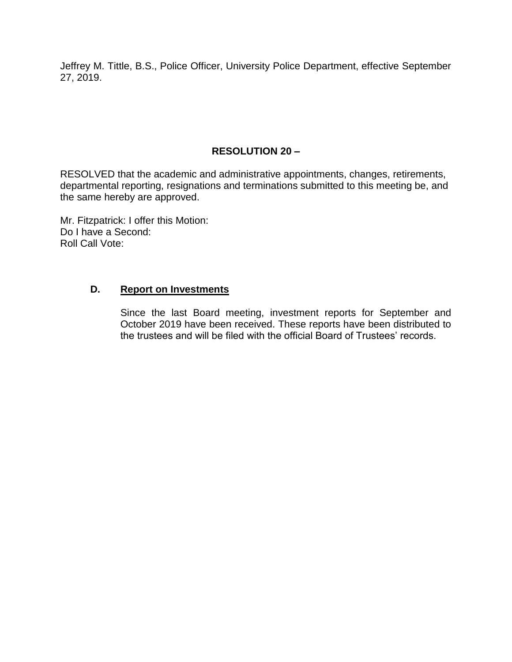Jeffrey M. Tittle, B.S., Police Officer, University Police Department, effective September 27, 2019.

# **RESOLUTION 20 –**

RESOLVED that the academic and administrative appointments, changes, retirements, departmental reporting, resignations and terminations submitted to this meeting be, and the same hereby are approved.

Mr. Fitzpatrick: I offer this Motion: Do I have a Second: Roll Call Vote:

#### **D. Report on Investments**

Since the last Board meeting, investment reports for September and October 2019 have been received. These reports have been distributed to the trustees and will be filed with the official Board of Trustees' records.